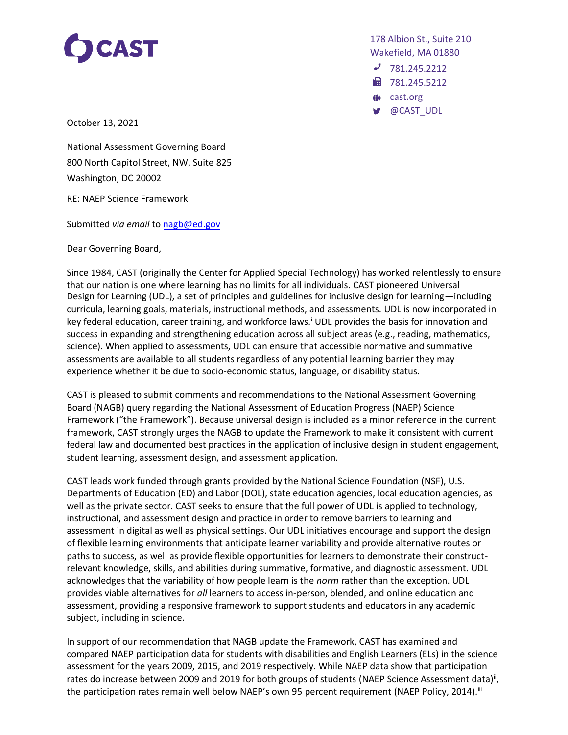

178 Albion St., Suite 210 Wakefield, MA 01880

- $J$  781.245.2212
- 18 781.245.5212
- cast.org
- @CAST\_UDL

October 13, 2021

National Assessment Governing Board 800 North Capitol Street, NW, Suite 825 Washington, DC 20002

RE: NAEP Science Framework

Submitted *via email* t[o nagb@ed.gov](mailto:nagb@ed.gov)

Dear Governing Board,

Since 1984, CAST (originally the Center for Applied Special Technology) has worked relentlessly to ensure that our nation is one where learning has no limits for all individuals. CAST pioneered Universal Design for Learning (UDL), a set of principles and guidelines for inclusive design for learning—including curricula, learning goals, materials, instructional methods, and assessments. UDL is now incorporated in key federal education, career training, and workforce laws.<sup>i</sup> UDL provides the basis for innovation and success in expanding and strengthening education across all subject areas (e.g., reading, mathematics, science). When applied to assessments, UDL can ensure that accessible normative and summative assessments are available to all students regardless of any potential learning barrier they may experience whether it be due to socio-economic status, language, or disability status.

CAST is pleased to submit comments and recommendations to the National Assessment Governing Board (NAGB) query regarding the National Assessment of Education Progress (NAEP) Science Framework ("the Framework"). Because universal design is included as a minor reference in the current framework, CAST strongly urges the NAGB to update the Framework to make it consistent with current federal law and documented best practices in the application of inclusive design in student engagement, student learning, assessment design, and assessment application.

CAST leads work funded through grants provided by the National Science Foundation (NSF), U.S. Departments of Education (ED) and Labor (DOL), state education agencies, local education agencies, as well as the private sector. CAST seeks to ensure that the full power of UDL is applied to technology, instructional, and assessment design and practice in order to remove barriers to learning and assessment in digital as well as physical settings. Our UDL initiatives encourage and support the design of flexible learning environments that anticipate learner variability and provide alternative routes or paths to success, as well as provide flexible opportunities for learners to demonstrate their constructrelevant knowledge, skills, and abilities during summative, formative, and diagnostic assessment. UDL acknowledges that the variability of how people learn is the *norm* rather than the exception. UDL provides viable alternatives for *all* learners to access in-person, blended, and online education and assessment, providing a responsive framework to support students and educators in any academic subject, including in science.

In support of our recommendation that NAGB update the Framework, CAST has examined and compared NAEP participation data for students with disabilities and English Learners (ELs) in the science assessment for the years 2009, 2015, and 2019 respectively. While NAEP data show that participation rates do increase between 2009 and 2019 for both groups of students (NAEP Science Assessment data)<sup>ii</sup>, the participation rates remain well below NAEP's own 95 percent requirement (NAEP Policy, 2014).<sup>iii</sup>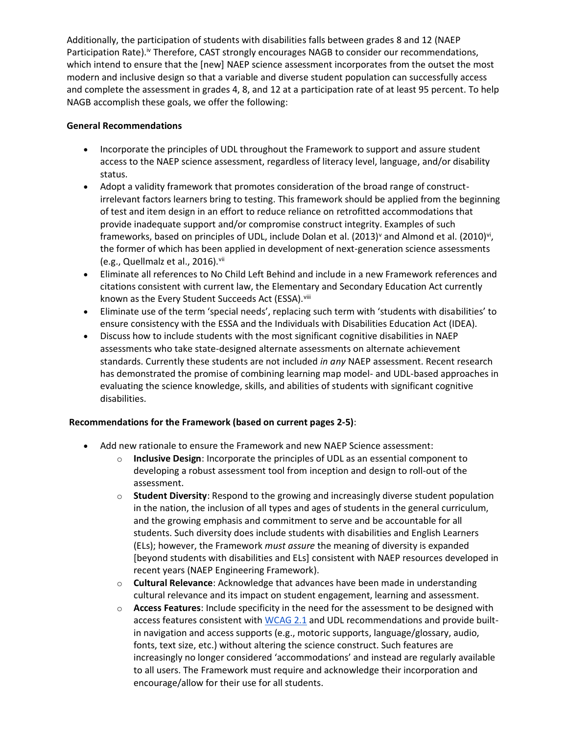Additionally, the participation of students with disabilities falls between grades 8 and 12 (NAEP Participation Rate).<sup>iv</sup> Therefore, CAST strongly encourages NAGB to consider our recommendations, which intend to ensure that the [new] NAEP science assessment incorporates from the outset the most modern and inclusive design so that a variable and diverse student population can successfully access and complete the assessment in grades 4, 8, and 12 at a participation rate of at least 95 percent. To help NAGB accomplish these goals, we offer the following:

### **General Recommendations**

- Incorporate the principles of UDL throughout the Framework to support and assure student access to the NAEP science assessment, regardless of literacy level, language, and/or disability status.
- Adopt a validity framework that promotes consideration of the broad range of constructirrelevant factors learners bring to testing. This framework should be applied from the beginning of test and item design in an effort to reduce reliance on retrofitted accommodations that provide inadequate support and/or compromise construct integrity. Examples of such frameworks, based on principles of UDL, include Dolan et al. (2013)<sup>v</sup> and Almond et al. (2010)<sup>vi</sup>, the former of which has been applied in development of next-generation science assessments (e.g., Quellmalz et al., 2016).vii
- Eliminate all references to No Child Left Behind and include in a new Framework references and citations consistent with current law, the Elementary and Secondary Education Act currently known as the Every Student Succeeds Act (ESSA). Viii
- Eliminate use of the term 'special needs', replacing such term with 'students with disabilities' to ensure consistency with the ESSA and the Individuals with Disabilities Education Act (IDEA).
- Discuss how to include students with the most significant cognitive disabilities in NAEP assessments who take state-designed alternate assessments on alternate achievement standards. Currently these students are not included *in any* NAEP assessment. Recent research has demonstrated the promise of combining learning map model- and UDL-based approaches in evaluating the science knowledge, skills, and abilities of students with significant cognitive disabilities.

# **Recommendations for the Framework (based on current pages 2-5)**:

- Add new rationale to ensure the Framework and new NAEP Science assessment:
	- o **Inclusive Design**: Incorporate the principles of UDL as an essential component to developing a robust assessment tool from inception and design to roll-out of the assessment.
	- o **Student Diversity**: Respond to the growing and increasingly diverse student population in the nation, the inclusion of all types and ages of students in the general curriculum, and the growing emphasis and commitment to serve and be accountable for all students. Such diversity does include students with disabilities and English Learners (ELs); however, the Framework *must assure* the meaning of diversity is expanded [beyond students with disabilities and ELs] consistent with NAEP resources developed in recent years (NAEP Engineering Framework).
	- o **Cultural Relevance**: Acknowledge that advances have been made in understanding cultural relevance and its impact on student engagement, learning and assessment.
	- o **Access Features**: Include specificity in the need for the assessment to be designed with access features consistent wit[h WCAG 2.1](https://www.w3.org/TR/WCAG21/) and UDL recommendations and provide builtin navigation and access supports (e.g., motoric supports, language/glossary, audio, fonts, text size, etc.) without altering the science construct. Such features are increasingly no longer considered 'accommodations' and instead are regularly available to all users. The Framework must require and acknowledge their incorporation and encourage/allow for their use for all students.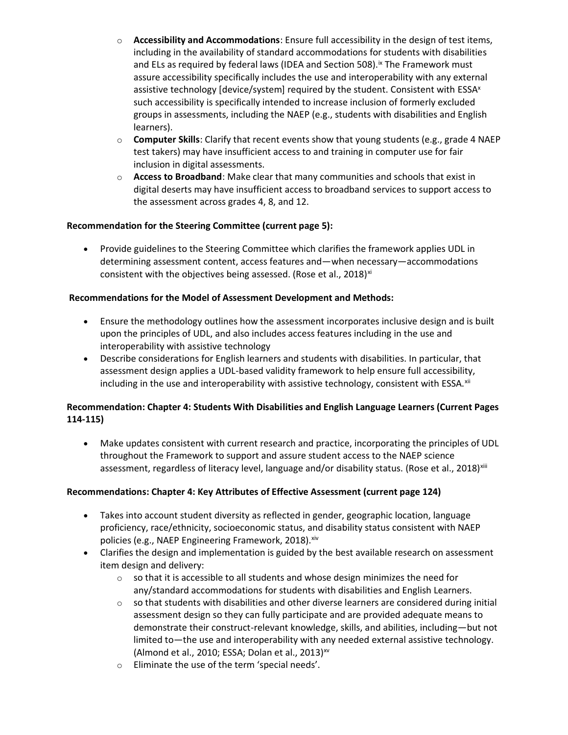- o **Accessibility and Accommodations**: Ensure full accessibility in the design of test items, including in the availability of standard accommodations for students with disabilities and ELs as required by federal laws (IDEA and Section 508).<sup>ix</sup> The Framework must assure accessibility specifically includes the use and interoperability with any external assistive technology [device/system] required by the student. Consistent with ESSA<sup>x</sup> such accessibility is specifically intended to increase inclusion of formerly excluded groups in assessments, including the NAEP (e.g., students with disabilities and English learners).
- o **Computer Skills**: Clarify that recent events show that young students (e.g., grade 4 NAEP test takers) may have insufficient access to and training in computer use for fair inclusion in digital assessments.
- o **Access to Broadband**: Make clear that many communities and schools that exist in digital deserts may have insufficient access to broadband services to support access to the assessment across grades 4, 8, and 12.

# **Recommendation for the Steering Committee (current page 5):**

• Provide guidelines to the Steering Committee which clarifies the framework applies UDL in determining assessment content, access features and—when necessary—accommodations consistent with the objectives being assessed. (Rose et al., 2018) $xi$ 

### **Recommendations for the Model of Assessment Development and Methods:**

- Ensure the methodology outlines how the assessment incorporates inclusive design and is built upon the principles of UDL, and also includes access features including in the use and interoperability with assistive technology
- Describe considerations for English learners and students with disabilities. In particular, that assessment design applies a UDL-based validity framework to help ensure full accessibility, including in the use and interoperability with assistive technology, consistent with ESSA. $x$ ii

# **Recommendation: Chapter 4: Students With Disabilities and English Language Learners (Current Pages 114-115)**

• Make updates consistent with current research and practice, incorporating the principles of UDL throughout the Framework to support and assure student access to the NAEP science assessment, regardless of literacy level, language and/or disability status. (Rose et al., 2018)<sup>xiii</sup>

#### **Recommendations: Chapter 4: Key Attributes of Effective Assessment (current page 124)**

- Takes into account student diversity as reflected in gender, geographic location, language proficiency, race/ethnicity, socioeconomic status, and disability status consistent with NAEP policies (e.g., NAEP Engineering Framework, 2018). Xiv
- Clarifies the design and implementation is guided by the best available research on assessment item design and delivery:
	- $\circ$  so that it is accessible to all students and whose design minimizes the need for any/standard accommodations for students with disabilities and English Learners.
	- $\circ$  so that students with disabilities and other diverse learners are considered during initial assessment design so they can fully participate and are provided adequate means to demonstrate their construct-relevant knowledge, skills, and abilities, including—but not limited to—the use and interoperability with any needed external assistive technology. (Almond et al., 2010; ESSA; Dolan et al., 2013) $^{xy}$
	- o Eliminate the use of the term 'special needs'.